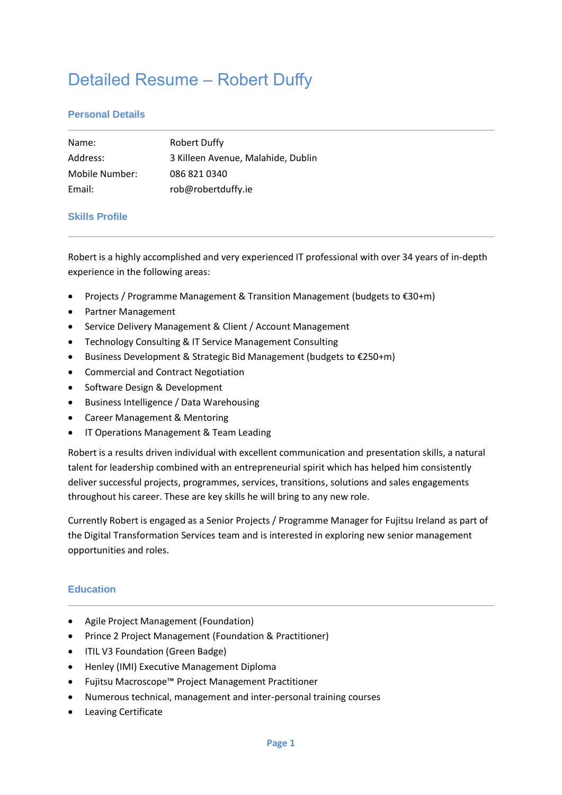# Detailed Resume – Robert Duffy

## **Personal Details**

| Name:          | <b>Robert Duffy</b>                |
|----------------|------------------------------------|
| Address:       | 3 Killeen Avenue, Malahide, Dublin |
| Mobile Number: | 086 821 0340                       |
| Email:         | rob@robertduffy.ie                 |

#### **Skills Profile**

Robert is a highly accomplished and very experienced IT professional with over 34 years of in-depth experience in the following areas:

- Projects / Programme Management & Transition Management (budgets to €30+m)
- Partner Management
- Service Delivery Management & Client / Account Management
- Technology Consulting & IT Service Management Consulting
- Business Development & Strategic Bid Management (budgets to €250+m)
- Commercial and Contract Negotiation
- Software Design & Development
- Business Intelligence / Data Warehousing
- Career Management & Mentoring
- IT Operations Management & Team Leading

Robert is a results driven individual with excellent communication and presentation skills, a natural talent for leadership combined with an entrepreneurial spirit which has helped him consistently deliver successful projects, programmes, services, transitions, solutions and sales engagements throughout his career. These are key skills he will bring to any new role.

Currently Robert is engaged as a Senior Projects / Programme Manager for Fujitsu Ireland as part of the Digital Transformation Services team and is interested in exploring new senior management opportunities and roles.

#### **Education**

- Agile Project Management (Foundation)
- Prince 2 Project Management (Foundation & Practitioner)
- ITIL V3 Foundation (Green Badge)
- Henley (IMI) Executive Management Diploma
- Fujitsu Macroscope™ Project Management Practitioner
- Numerous technical, management and inter-personal training courses
- Leaving Certificate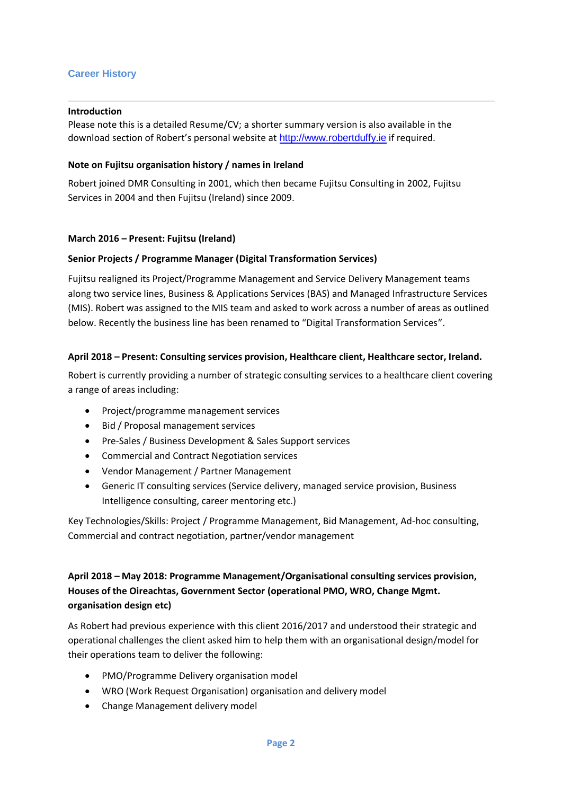## **Career History**

#### **Introduction**

Please note this is a detailed Resume/CV; a shorter summary version is also available in the download section of Robert's personal website at [http://www.robertduffy.ie](http://www.robertduffy.ie/) if required.

#### **Note on Fujitsu organisation history / names in Ireland**

Robert joined DMR Consulting in 2001, which then became Fujitsu Consulting in 2002, Fujitsu Services in 2004 and then Fujitsu (Ireland) since 2009.

#### **March 2016 – Present: Fujitsu (Ireland)**

#### **Senior Projects / Programme Manager (Digital Transformation Services)**

Fujitsu realigned its Project/Programme Management and Service Delivery Management teams along two service lines, Business & Applications Services (BAS) and Managed Infrastructure Services (MIS). Robert was assigned to the MIS team and asked to work across a number of areas as outlined below. Recently the business line has been renamed to "Digital Transformation Services".

#### **April 2018 – Present: Consulting services provision, Healthcare client, Healthcare sector, Ireland.**

Robert is currently providing a number of strategic consulting services to a healthcare client covering a range of areas including:

- Project/programme management services
- Bid / Proposal management services
- Pre-Sales / Business Development & Sales Support services
- Commercial and Contract Negotiation services
- Vendor Management / Partner Management
- Generic IT consulting services (Service delivery, managed service provision, Business Intelligence consulting, career mentoring etc.)

Key Technologies/Skills: Project / Programme Management, Bid Management, Ad-hoc consulting, Commercial and contract negotiation, partner/vendor management

## **April 2018 – May 2018: Programme Management/Organisational consulting services provision, Houses of the Oireachtas, Government Sector (operational PMO, WRO, Change Mgmt. organisation design etc)**

As Robert had previous experience with this client 2016/2017 and understood their strategic and operational challenges the client asked him to help them with an organisational design/model for their operations team to deliver the following:

- PMO/Programme Delivery organisation model
- WRO (Work Request Organisation) organisation and delivery model
- Change Management delivery model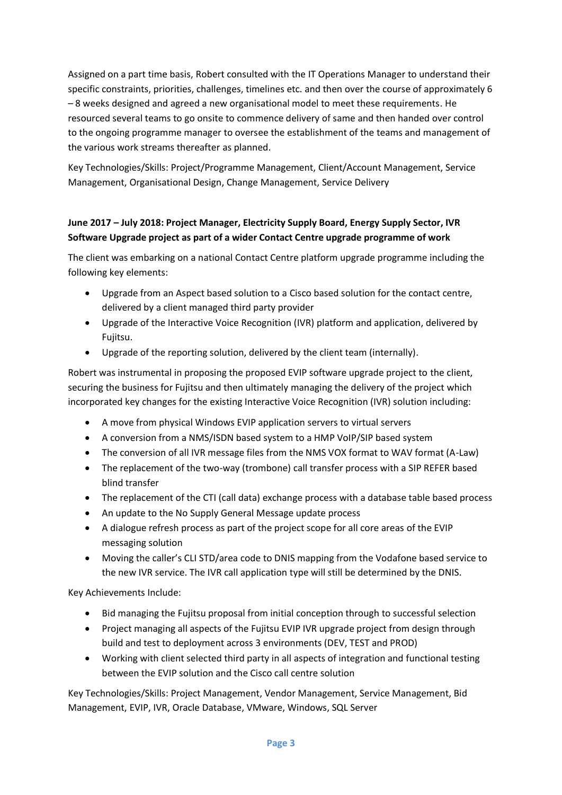Assigned on a part time basis, Robert consulted with the IT Operations Manager to understand their specific constraints, priorities, challenges, timelines etc. and then over the course of approximately 6 – 8 weeks designed and agreed a new organisational model to meet these requirements. He resourced several teams to go onsite to commence delivery of same and then handed over control to the ongoing programme manager to oversee the establishment of the teams and management of the various work streams thereafter as planned.

Key Technologies/Skills: Project/Programme Management, Client/Account Management, Service Management, Organisational Design, Change Management, Service Delivery

## **June 2017 – July 2018: Project Manager, Electricity Supply Board, Energy Supply Sector, IVR Software Upgrade project as part of a wider Contact Centre upgrade programme of work**

The client was embarking on a national Contact Centre platform upgrade programme including the following key elements:

- Upgrade from an Aspect based solution to a Cisco based solution for the contact centre, delivered by a client managed third party provider
- Upgrade of the Interactive Voice Recognition (IVR) platform and application, delivered by Fujitsu.
- Upgrade of the reporting solution, delivered by the client team (internally).

Robert was instrumental in proposing the proposed EVIP software upgrade project to the client, securing the business for Fujitsu and then ultimately managing the delivery of the project which incorporated key changes for the existing Interactive Voice Recognition (IVR) solution including:

- A move from physical Windows EVIP application servers to virtual servers
- A conversion from a NMS/ISDN based system to a HMP VoIP/SIP based system
- The conversion of all IVR message files from the NMS VOX format to WAV format (A-Law)
- The replacement of the two-way (trombone) call transfer process with a SIP REFER based blind transfer
- The replacement of the CTI (call data) exchange process with a database table based process
- An update to the No Supply General Message update process
- A dialogue refresh process as part of the project scope for all core areas of the EVIP messaging solution
- Moving the caller's CLI STD/area code to DNIS mapping from the Vodafone based service to the new IVR service. The IVR call application type will still be determined by the DNIS.

Key Achievements Include:

- Bid managing the Fujitsu proposal from initial conception through to successful selection
- Project managing all aspects of the Fujitsu EVIP IVR upgrade project from design through build and test to deployment across 3 environments (DEV, TEST and PROD)
- Working with client selected third party in all aspects of integration and functional testing between the EVIP solution and the Cisco call centre solution

Key Technologies/Skills: Project Management, Vendor Management, Service Management, Bid Management, EVIP, IVR, Oracle Database, VMware, Windows, SQL Server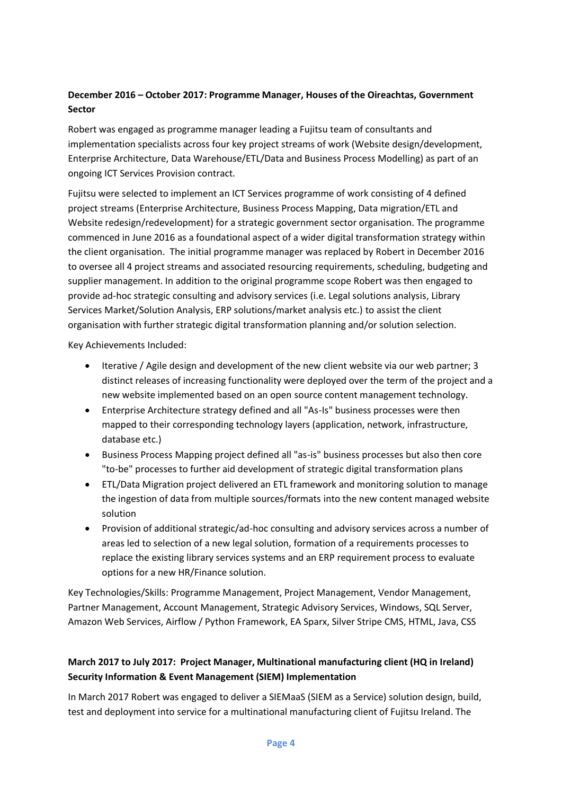## **December 2016 – October 2017: Programme Manager, Houses of the Oireachtas, Government Sector**

Robert was engaged as programme manager leading a Fujitsu team of consultants and implementation specialists across four key project streams of work (Website design/development, Enterprise Architecture, Data Warehouse/ETL/Data and Business Process Modelling) as part of an ongoing ICT Services Provision contract.

Fujitsu were selected to implement an ICT Services programme of work consisting of 4 defined project streams (Enterprise Architecture, Business Process Mapping, Data migration/ETL and Website redesign/redevelopment) for a strategic government sector organisation. The programme commenced in June 2016 as a foundational aspect of a wider digital transformation strategy within the client organisation. The initial programme manager was replaced by Robert in December 2016 to oversee all 4 project streams and associated resourcing requirements, scheduling, budgeting and supplier management. In addition to the original programme scope Robert was then engaged to provide ad-hoc strategic consulting and advisory services (i.e. Legal solutions analysis, Library Services Market/Solution Analysis, ERP solutions/market analysis etc.) to assist the client organisation with further strategic digital transformation planning and/or solution selection.

Key Achievements Included:

- Iterative / Agile design and development of the new client website via our web partner; 3 distinct releases of increasing functionality were deployed over the term of the project and a new website implemented based on an open source content management technology.
- Enterprise Architecture strategy defined and all "As-Is" business processes were then mapped to their corresponding technology layers (application, network, infrastructure, database etc.)
- Business Process Mapping project defined all "as-is" business processes but also then core "to-be" processes to further aid development of strategic digital transformation plans
- ETL/Data Migration project delivered an ETL framework and monitoring solution to manage the ingestion of data from multiple sources/formats into the new content managed website solution
- Provision of additional strategic/ad-hoc consulting and advisory services across a number of areas led to selection of a new legal solution, formation of a requirements processes to replace the existing library services systems and an ERP requirement process to evaluate options for a new HR/Finance solution.

Key Technologies/Skills: Programme Management, Project Management, Vendor Management, Partner Management, Account Management, Strategic Advisory Services, Windows, SQL Server, Amazon Web Services, Airflow / Python Framework, EA Sparx, Silver Stripe CMS, HTML, Java, CSS

## **March 2017 to July 2017: Project Manager, Multinational manufacturing client (HQ in Ireland) Security Information & Event Management (SIEM) Implementation**

In March 2017 Robert was engaged to deliver a SIEMaaS (SIEM as a Service) solution design, build, test and deployment into service for a multinational manufacturing client of Fujitsu Ireland. The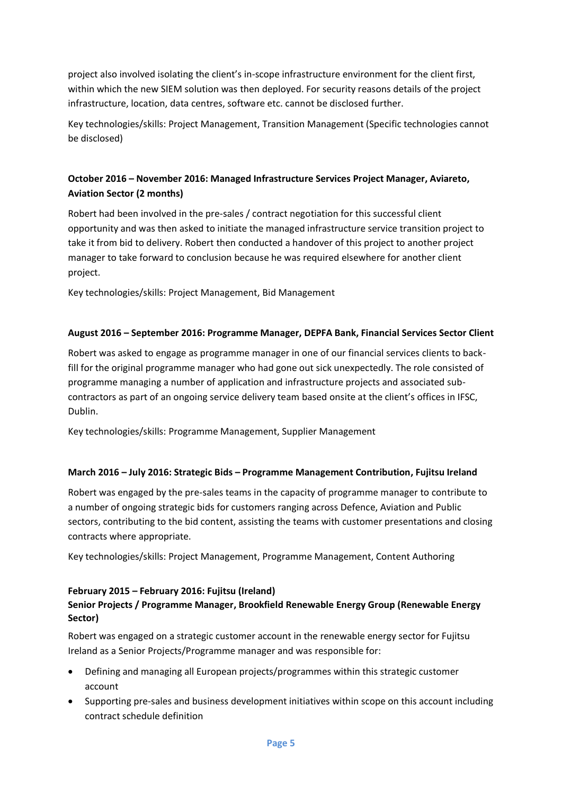project also involved isolating the client's in-scope infrastructure environment for the client first, within which the new SIEM solution was then deployed. For security reasons details of the project infrastructure, location, data centres, software etc. cannot be disclosed further.

Key technologies/skills: Project Management, Transition Management (Specific technologies cannot be disclosed)

## **October 2016 – November 2016: Managed Infrastructure Services Project Manager, Aviareto, Aviation Sector (2 months)**

Robert had been involved in the pre-sales / contract negotiation for this successful client opportunity and was then asked to initiate the managed infrastructure service transition project to take it from bid to delivery. Robert then conducted a handover of this project to another project manager to take forward to conclusion because he was required elsewhere for another client project.

Key technologies/skills: Project Management, Bid Management

## **August 2016 – September 2016: Programme Manager, DEPFA Bank, Financial Services Sector Client**

Robert was asked to engage as programme manager in one of our financial services clients to backfill for the original programme manager who had gone out sick unexpectedly. The role consisted of programme managing a number of application and infrastructure projects and associated subcontractors as part of an ongoing service delivery team based onsite at the client's offices in IFSC, Dublin.

Key technologies/skills: Programme Management, Supplier Management

#### **March 2016 – July 2016: Strategic Bids – Programme Management Contribution, Fujitsu Ireland**

Robert was engaged by the pre-sales teams in the capacity of programme manager to contribute to a number of ongoing strategic bids for customers ranging across Defence, Aviation and Public sectors, contributing to the bid content, assisting the teams with customer presentations and closing contracts where appropriate.

Key technologies/skills: Project Management, Programme Management, Content Authoring

#### **February 2015 – February 2016: Fujitsu (Ireland)**

## **Senior Projects / Programme Manager, Brookfield Renewable Energy Group (Renewable Energy Sector)**

Robert was engaged on a strategic customer account in the renewable energy sector for Fujitsu Ireland as a Senior Projects/Programme manager and was responsible for:

- Defining and managing all European projects/programmes within this strategic customer account
- Supporting pre-sales and business development initiatives within scope on this account including contract schedule definition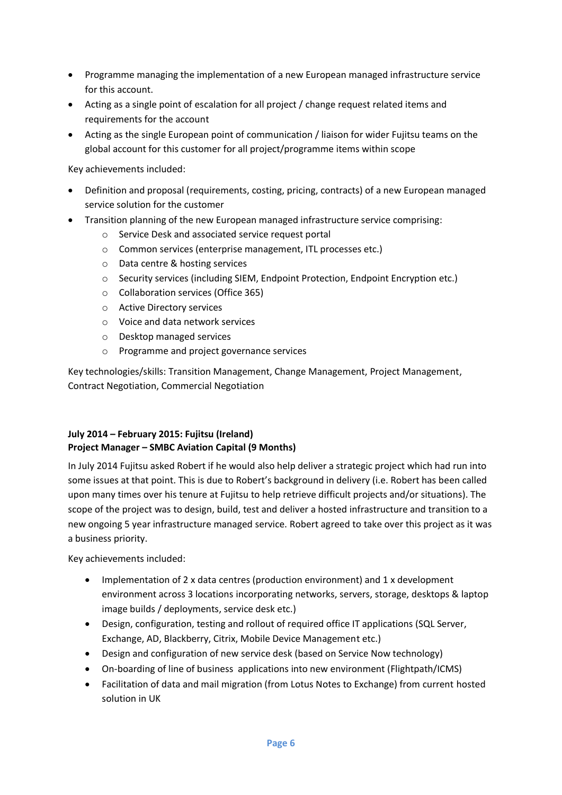- Programme managing the implementation of a new European managed infrastructure service for this account.
- Acting as a single point of escalation for all project / change request related items and requirements for the account
- Acting as the single European point of communication / liaison for wider Fujitsu teams on the global account for this customer for all project/programme items within scope

Key achievements included:

- Definition and proposal (requirements, costing, pricing, contracts) of a new European managed service solution for the customer
- Transition planning of the new European managed infrastructure service comprising:
	- o Service Desk and associated service request portal
	- o Common services (enterprise management, ITL processes etc.)
	- o Data centre & hosting services
	- o Security services (including SIEM, Endpoint Protection, Endpoint Encryption etc.)
	- o Collaboration services (Office 365)
	- o Active Directory services
	- o Voice and data network services
	- o Desktop managed services
	- o Programme and project governance services

Key technologies/skills: Transition Management, Change Management, Project Management, Contract Negotiation, Commercial Negotiation

## **July 2014 – February 2015: Fujitsu (Ireland) Project Manager – SMBC Aviation Capital (9 Months)**

In July 2014 Fujitsu asked Robert if he would also help deliver a strategic project which had run into some issues at that point. This is due to Robert's background in delivery (i.e. Robert has been called upon many times over his tenure at Fujitsu to help retrieve difficult projects and/or situations). The scope of the project was to design, build, test and deliver a hosted infrastructure and transition to a new ongoing 5 year infrastructure managed service. Robert agreed to take over this project as it was a business priority.

Key achievements included:

- Implementation of 2 x data centres (production environment) and 1 x development environment across 3 locations incorporating networks, servers, storage, desktops & laptop image builds / deployments, service desk etc.)
- Design, configuration, testing and rollout of required office IT applications (SQL Server, Exchange, AD, Blackberry, Citrix, Mobile Device Management etc.)
- Design and configuration of new service desk (based on Service Now technology)
- On-boarding of line of business applications into new environment (Flightpath/ICMS)
- Facilitation of data and mail migration (from Lotus Notes to Exchange) from current hosted solution in UK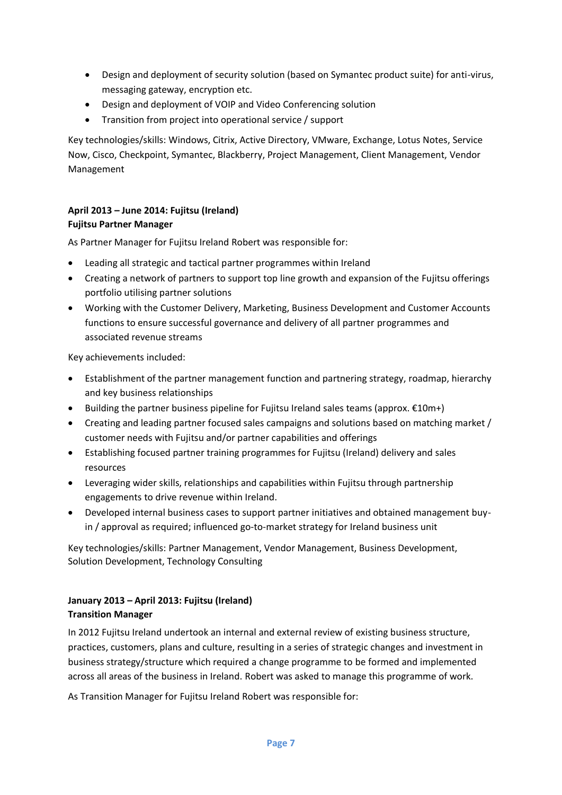- Design and deployment of security solution (based on Symantec product suite) for anti-virus, messaging gateway, encryption etc.
- Design and deployment of VOIP and Video Conferencing solution
- Transition from project into operational service / support

Key technologies/skills: Windows, Citrix, Active Directory, VMware, Exchange, Lotus Notes, Service Now, Cisco, Checkpoint, Symantec, Blackberry, Project Management, Client Management, Vendor Management

## **April 2013 – June 2014: Fujitsu (Ireland) Fujitsu Partner Manager**

As Partner Manager for Fujitsu Ireland Robert was responsible for:

- Leading all strategic and tactical partner programmes within Ireland
- Creating a network of partners to support top line growth and expansion of the Fujitsu offerings portfolio utilising partner solutions
- Working with the Customer Delivery, Marketing, Business Development and Customer Accounts functions to ensure successful governance and delivery of all partner programmes and associated revenue streams

Key achievements included:

- Establishment of the partner management function and partnering strategy, roadmap, hierarchy and key business relationships
- Building the partner business pipeline for Fujitsu Ireland sales teams (approx. €10m+)
- Creating and leading partner focused sales campaigns and solutions based on matching market / customer needs with Fujitsu and/or partner capabilities and offerings
- Establishing focused partner training programmes for Fujitsu (Ireland) delivery and sales resources
- Leveraging wider skills, relationships and capabilities within Fujitsu through partnership engagements to drive revenue within Ireland.
- Developed internal business cases to support partner initiatives and obtained management buyin / approval as required; influenced go-to-market strategy for Ireland business unit

Key technologies/skills: Partner Management, Vendor Management, Business Development, Solution Development, Technology Consulting

## **January 2013 – April 2013: Fujitsu (Ireland) Transition Manager**

In 2012 Fujitsu Ireland undertook an internal and external review of existing business structure, practices, customers, plans and culture, resulting in a series of strategic changes and investment in business strategy/structure which required a change programme to be formed and implemented across all areas of the business in Ireland. Robert was asked to manage this programme of work.

As Transition Manager for Fujitsu Ireland Robert was responsible for: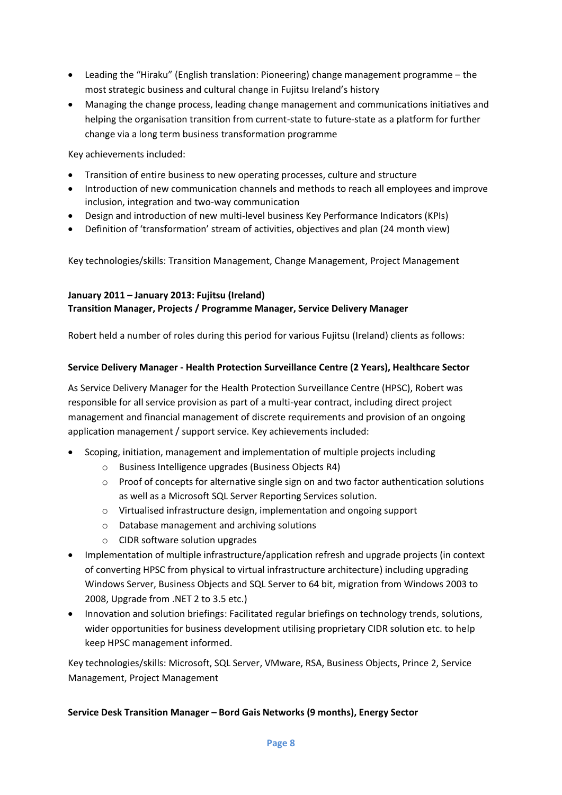- Leading the "Hiraku" (English translation: Pioneering) change management programme the most strategic business and cultural change in Fujitsu Ireland's history
- Managing the change process, leading change management and communications initiatives and helping the organisation transition from current-state to future-state as a platform for further change via a long term business transformation programme

Key achievements included:

- Transition of entire business to new operating processes, culture and structure
- Introduction of new communication channels and methods to reach all employees and improve inclusion, integration and two-way communication
- Design and introduction of new multi-level business Key Performance Indicators (KPIs)
- Definition of 'transformation' stream of activities, objectives and plan (24 month view)

Key technologies/skills: Transition Management, Change Management, Project Management

## **January 2011 – January 2013: Fujitsu (Ireland)**

#### **Transition Manager, Projects / Programme Manager, Service Delivery Manager**

Robert held a number of roles during this period for various Fujitsu (Ireland) clients as follows:

#### **Service Delivery Manager - Health Protection Surveillance Centre (2 Years), Healthcare Sector**

As Service Delivery Manager for the Health Protection Surveillance Centre (HPSC), Robert was responsible for all service provision as part of a multi-year contract, including direct project management and financial management of discrete requirements and provision of an ongoing application management / support service. Key achievements included:

- Scoping, initiation, management and implementation of multiple projects including
	- o Business Intelligence upgrades (Business Objects R4)
	- $\circ$  Proof of concepts for alternative single sign on and two factor authentication solutions as well as a Microsoft SQL Server Reporting Services solution.
	- o Virtualised infrastructure design, implementation and ongoing support
	- o Database management and archiving solutions
	- o CIDR software solution upgrades
- Implementation of multiple infrastructure/application refresh and upgrade projects (in context of converting HPSC from physical to virtual infrastructure architecture) including upgrading Windows Server, Business Objects and SQL Server to 64 bit, migration from Windows 2003 to 2008, Upgrade from .NET 2 to 3.5 etc.)
- Innovation and solution briefings: Facilitated regular briefings on technology trends, solutions, wider opportunities for business development utilising proprietary CIDR solution etc. to help keep HPSC management informed.

Key technologies/skills: Microsoft, SQL Server, VMware, RSA, Business Objects, Prince 2, Service Management, Project Management

#### **Service Desk Transition Manager – Bord Gais Networks (9 months), Energy Sector**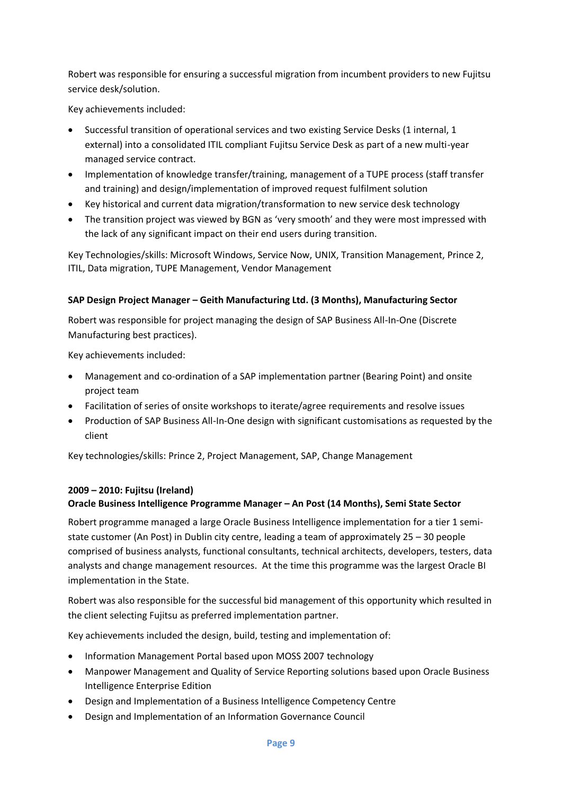Robert was responsible for ensuring a successful migration from incumbent providers to new Fujitsu service desk/solution.

Key achievements included:

- Successful transition of operational services and two existing Service Desks (1 internal, 1 external) into a consolidated ITIL compliant Fujitsu Service Desk as part of a new multi-year managed service contract.
- Implementation of knowledge transfer/training, management of a TUPE process (staff transfer and training) and design/implementation of improved request fulfilment solution
- Key historical and current data migration/transformation to new service desk technology
- The transition project was viewed by BGN as 'very smooth' and they were most impressed with the lack of any significant impact on their end users during transition.

Key Technologies/skills: Microsoft Windows, Service Now, UNIX, Transition Management, Prince 2, ITIL, Data migration, TUPE Management, Vendor Management

## **SAP Design Project Manager – Geith Manufacturing Ltd. (3 Months), Manufacturing Sector**

Robert was responsible for project managing the design of SAP Business All-In-One (Discrete Manufacturing best practices).

Key achievements included:

- Management and co-ordination of a SAP implementation partner (Bearing Point) and onsite project team
- Facilitation of series of onsite workshops to iterate/agree requirements and resolve issues
- Production of SAP Business All-In-One design with significant customisations as requested by the client

Key technologies/skills: Prince 2, Project Management, SAP, Change Management

#### **2009 – 2010: Fujitsu (Ireland)**

## **Oracle Business Intelligence Programme Manager – An Post (14 Months), Semi State Sector**

Robert programme managed a large Oracle Business Intelligence implementation for a tier 1 semistate customer (An Post) in Dublin city centre, leading a team of approximately 25 – 30 people comprised of business analysts, functional consultants, technical architects, developers, testers, data analysts and change management resources. At the time this programme was the largest Oracle BI implementation in the State.

Robert was also responsible for the successful bid management of this opportunity which resulted in the client selecting Fujitsu as preferred implementation partner.

Key achievements included the design, build, testing and implementation of:

- Information Management Portal based upon MOSS 2007 technology
- Manpower Management and Quality of Service Reporting solutions based upon Oracle Business Intelligence Enterprise Edition
- Design and Implementation of a Business Intelligence Competency Centre
- Design and Implementation of an Information Governance Council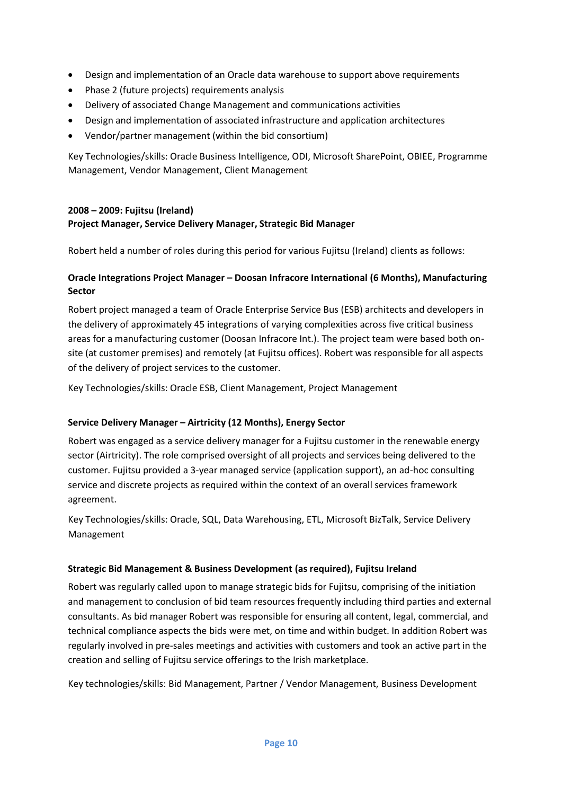- Design and implementation of an Oracle data warehouse to support above requirements
- Phase 2 (future projects) requirements analysis
- Delivery of associated Change Management and communications activities
- Design and implementation of associated infrastructure and application architectures
- Vendor/partner management (within the bid consortium)

Key Technologies/skills: Oracle Business Intelligence, ODI, Microsoft SharePoint, OBIEE, Programme Management, Vendor Management, Client Management

## **2008 – 2009: Fujitsu (Ireland) Project Manager, Service Delivery Manager, Strategic Bid Manager**

Robert held a number of roles during this period for various Fujitsu (Ireland) clients as follows:

## **Oracle Integrations Project Manager – Doosan Infracore International (6 Months), Manufacturing Sector**

Robert project managed a team of Oracle Enterprise Service Bus (ESB) architects and developers in the delivery of approximately 45 integrations of varying complexities across five critical business areas for a manufacturing customer (Doosan Infracore Int.). The project team were based both onsite (at customer premises) and remotely (at Fujitsu offices). Robert was responsible for all aspects of the delivery of project services to the customer.

Key Technologies/skills: Oracle ESB, Client Management, Project Management

#### **Service Delivery Manager – Airtricity (12 Months), Energy Sector**

Robert was engaged as a service delivery manager for a Fujitsu customer in the renewable energy sector (Airtricity). The role comprised oversight of all projects and services being delivered to the customer. Fujitsu provided a 3-year managed service (application support), an ad-hoc consulting service and discrete projects as required within the context of an overall services framework agreement.

Key Technologies/skills: Oracle, SQL, Data Warehousing, ETL, Microsoft BizTalk, Service Delivery Management

#### **Strategic Bid Management & Business Development (as required), Fujitsu Ireland**

Robert was regularly called upon to manage strategic bids for Fujitsu, comprising of the initiation and management to conclusion of bid team resources frequently including third parties and external consultants. As bid manager Robert was responsible for ensuring all content, legal, commercial, and technical compliance aspects the bids were met, on time and within budget. In addition Robert was regularly involved in pre-sales meetings and activities with customers and took an active part in the creation and selling of Fujitsu service offerings to the Irish marketplace.

Key technologies/skills: Bid Management, Partner / Vendor Management, Business Development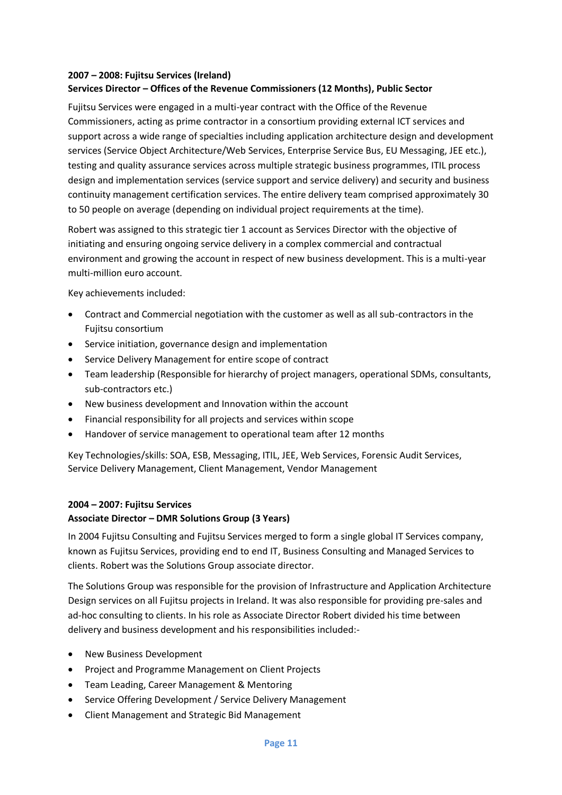#### **2007 – 2008: Fujitsu Services (Ireland) Services Director – Offices of the Revenue Commissioners (12 Months), Public Sector**

Fujitsu Services were engaged in a multi-year contract with the Office of the Revenue Commissioners, acting as prime contractor in a consortium providing external ICT services and support across a wide range of specialties including application architecture design and development services (Service Object Architecture/Web Services, Enterprise Service Bus, EU Messaging, JEE etc.), testing and quality assurance services across multiple strategic business programmes, ITIL process design and implementation services (service support and service delivery) and security and business continuity management certification services. The entire delivery team comprised approximately 30 to 50 people on average (depending on individual project requirements at the time).

Robert was assigned to this strategic tier 1 account as Services Director with the objective of initiating and ensuring ongoing service delivery in a complex commercial and contractual environment and growing the account in respect of new business development. This is a multi-year multi-million euro account.

Key achievements included:

- Contract and Commercial negotiation with the customer as well as all sub-contractors in the Fujitsu consortium
- Service initiation, governance design and implementation
- Service Delivery Management for entire scope of contract
- Team leadership (Responsible for hierarchy of project managers, operational SDMs, consultants, sub-contractors etc.)
- New business development and Innovation within the account
- Financial responsibility for all projects and services within scope
- Handover of service management to operational team after 12 months

Key Technologies/skills: SOA, ESB, Messaging, ITIL, JEE, Web Services, Forensic Audit Services, Service Delivery Management, Client Management, Vendor Management

## **2004 – 2007: Fujitsu Services**

## **Associate Director – DMR Solutions Group (3 Years)**

In 2004 Fujitsu Consulting and Fujitsu Services merged to form a single global IT Services company, known as Fujitsu Services, providing end to end IT, Business Consulting and Managed Services to clients. Robert was the Solutions Group associate director.

The Solutions Group was responsible for the provision of Infrastructure and Application Architecture Design services on all Fujitsu projects in Ireland. It was also responsible for providing pre-sales and ad-hoc consulting to clients. In his role as Associate Director Robert divided his time between delivery and business development and his responsibilities included:-

- New Business Development
- Project and Programme Management on Client Projects
- Team Leading, Career Management & Mentoring
- Service Offering Development / Service Delivery Management
- Client Management and Strategic Bid Management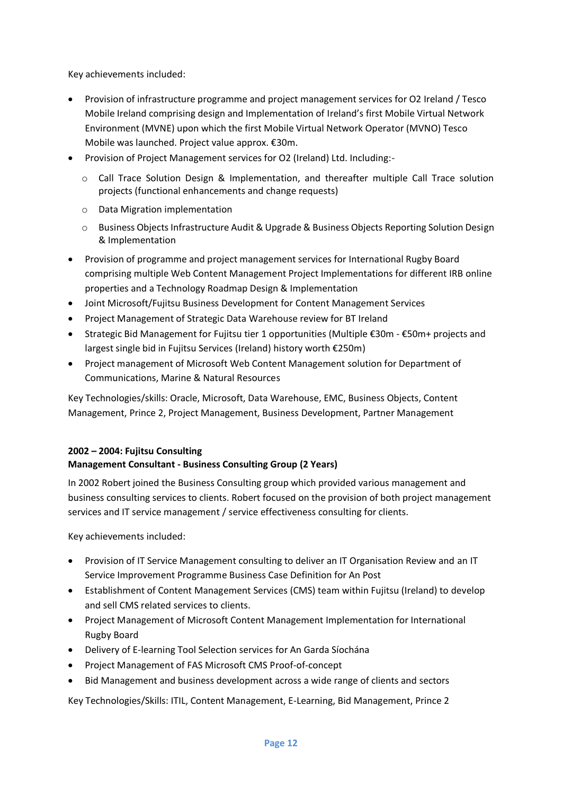Key achievements included:

- Provision of infrastructure programme and project management services for O2 Ireland / Tesco Mobile Ireland comprising design and Implementation of Ireland's first Mobile Virtual Network Environment (MVNE) upon which the first Mobile Virtual Network Operator (MVNO) Tesco Mobile was launched. Project value approx. €30m.
- Provision of Project Management services for O2 (Ireland) Ltd. Including:
	- o Call Trace Solution Design & Implementation, and thereafter multiple Call Trace solution projects (functional enhancements and change requests)
	- o Data Migration implementation
	- o Business Objects Infrastructure Audit & Upgrade & Business Objects Reporting Solution Design & Implementation
- Provision of programme and project management services for International Rugby Board comprising multiple Web Content Management Project Implementations for different IRB online properties and a Technology Roadmap Design & Implementation
- Joint Microsoft/Fujitsu Business Development for Content Management Services
- Project Management of Strategic Data Warehouse review for BT Ireland
- Strategic Bid Management for Fujitsu tier 1 opportunities (Multiple €30m €50m+ projects and largest single bid in Fujitsu Services (Ireland) history worth €250m)
- Project management of Microsoft Web Content Management solution for Department of Communications, Marine & Natural Resources

Key Technologies/skills: Oracle, Microsoft, Data Warehouse, EMC, Business Objects, Content Management, Prince 2, Project Management, Business Development, Partner Management

## **2002 – 2004: Fujitsu Consulting Management Consultant - Business Consulting Group (2 Years)**

In 2002 Robert joined the Business Consulting group which provided various management and business consulting services to clients. Robert focused on the provision of both project management services and IT service management / service effectiveness consulting for clients.

Key achievements included:

- Provision of IT Service Management consulting to deliver an IT Organisation Review and an IT Service Improvement Programme Business Case Definition for An Post
- Establishment of Content Management Services (CMS) team within Fujitsu (Ireland) to develop and sell CMS related services to clients.
- Project Management of Microsoft Content Management Implementation for International Rugby Board
- Delivery of E-learning Tool Selection services for An Garda Síochána
- Project Management of FAS Microsoft CMS Proof-of-concept
- Bid Management and business development across a wide range of clients and sectors

Key Technologies/Skills: ITIL, Content Management, E-Learning, Bid Management, Prince 2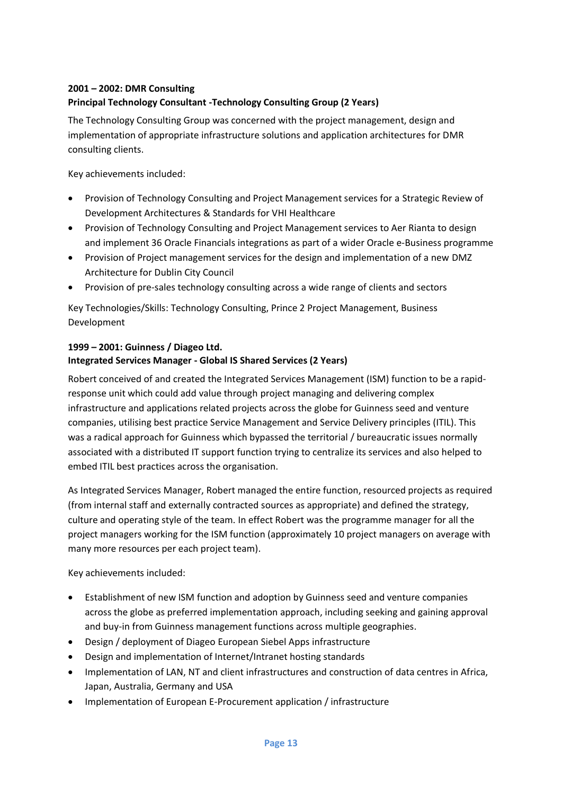## **2001 – 2002: DMR Consulting Principal Technology Consultant -Technology Consulting Group (2 Years)**

The Technology Consulting Group was concerned with the project management, design and implementation of appropriate infrastructure solutions and application architectures for DMR consulting clients.

Key achievements included:

- Provision of Technology Consulting and Project Management services for a Strategic Review of Development Architectures & Standards for VHI Healthcare
- Provision of Technology Consulting and Project Management services to Aer Rianta to design and implement 36 Oracle Financials integrations as part of a wider Oracle e-Business programme
- Provision of Project management services for the design and implementation of a new DMZ Architecture for Dublin City Council
- Provision of pre-sales technology consulting across a wide range of clients and sectors

Key Technologies/Skills: Technology Consulting, Prince 2 Project Management, Business Development

## **1999 – 2001: Guinness / Diageo Ltd.**

## **Integrated Services Manager - Global IS Shared Services (2 Years)**

Robert conceived of and created the Integrated Services Management (ISM) function to be a rapidresponse unit which could add value through project managing and delivering complex infrastructure and applications related projects across the globe for Guinness seed and venture companies, utilising best practice Service Management and Service Delivery principles (ITIL). This was a radical approach for Guinness which bypassed the territorial / bureaucratic issues normally associated with a distributed IT support function trying to centralize its services and also helped to embed ITIL best practices across the organisation.

As Integrated Services Manager, Robert managed the entire function, resourced projects as required (from internal staff and externally contracted sources as appropriate) and defined the strategy, culture and operating style of the team. In effect Robert was the programme manager for all the project managers working for the ISM function (approximately 10 project managers on average with many more resources per each project team).

Key achievements included:

- Establishment of new ISM function and adoption by Guinness seed and venture companies across the globe as preferred implementation approach, including seeking and gaining approval and buy-in from Guinness management functions across multiple geographies.
- Design / deployment of Diageo European Siebel Apps infrastructure
- Design and implementation of Internet/Intranet hosting standards
- Implementation of LAN, NT and client infrastructures and construction of data centres in Africa, Japan, Australia, Germany and USA
- Implementation of European E-Procurement application / infrastructure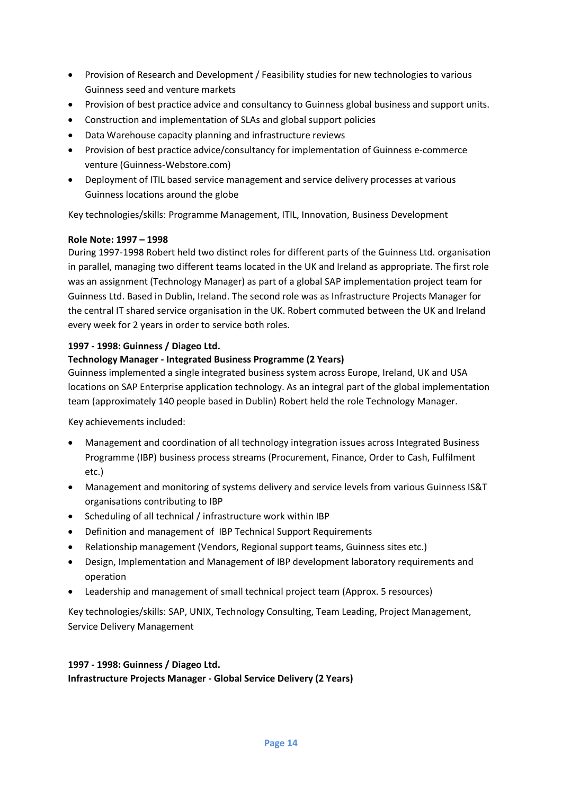- Provision of Research and Development / Feasibility studies for new technologies to various Guinness seed and venture markets
- Provision of best practice advice and consultancy to Guinness global business and support units.
- Construction and implementation of SLAs and global support policies
- Data Warehouse capacity planning and infrastructure reviews
- Provision of best practice advice/consultancy for implementation of Guinness e-commerce venture (Guinness-Webstore.com)
- Deployment of ITIL based service management and service delivery processes at various Guinness locations around the globe

Key technologies/skills: Programme Management, ITIL, Innovation, Business Development

#### **Role Note: 1997 – 1998**

During 1997-1998 Robert held two distinct roles for different parts of the Guinness Ltd. organisation in parallel, managing two different teams located in the UK and Ireland as appropriate. The first role was an assignment (Technology Manager) as part of a global SAP implementation project team for Guinness Ltd. Based in Dublin, Ireland. The second role was as Infrastructure Projects Manager for the central IT shared service organisation in the UK. Robert commuted between the UK and Ireland every week for 2 years in order to service both roles.

#### **1997 - 1998: Guinness / Diageo Ltd.**

#### **Technology Manager - Integrated Business Programme (2 Years)**

Guinness implemented a single integrated business system across Europe, Ireland, UK and USA locations on SAP Enterprise application technology. As an integral part of the global implementation team (approximately 140 people based in Dublin) Robert held the role Technology Manager.

Key achievements included:

- Management and coordination of all technology integration issues across Integrated Business Programme (IBP) business process streams (Procurement, Finance, Order to Cash, Fulfilment etc.)
- Management and monitoring of systems delivery and service levels from various Guinness IS&T organisations contributing to IBP
- Scheduling of all technical / infrastructure work within IBP
- Definition and management of IBP Technical Support Requirements
- Relationship management (Vendors, Regional support teams, Guinness sites etc.)
- Design, Implementation and Management of IBP development laboratory requirements and operation
- Leadership and management of small technical project team (Approx. 5 resources)

Key technologies/skills: SAP, UNIX, Technology Consulting, Team Leading, Project Management, Service Delivery Management

## **1997 - 1998: Guinness / Diageo Ltd. Infrastructure Projects Manager - Global Service Delivery (2 Years)**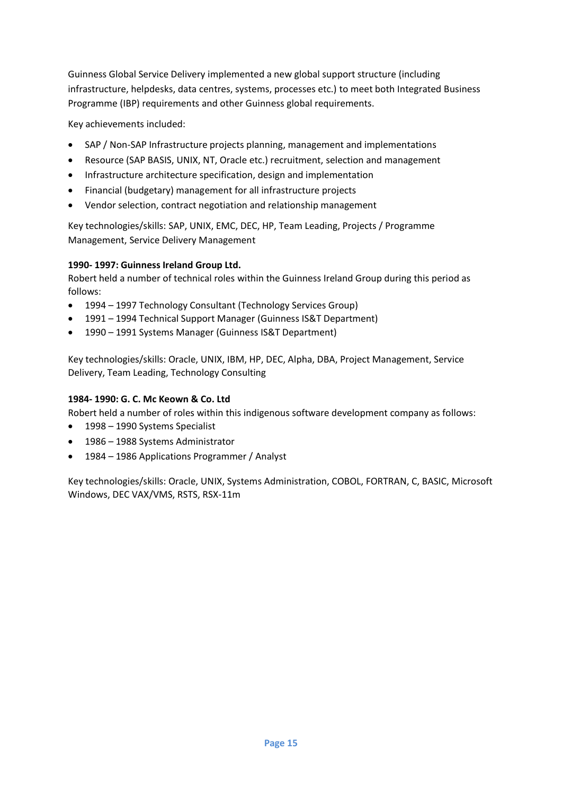Guinness Global Service Delivery implemented a new global support structure (including infrastructure, helpdesks, data centres, systems, processes etc.) to meet both Integrated Business Programme (IBP) requirements and other Guinness global requirements.

Key achievements included:

- SAP / Non-SAP Infrastructure projects planning, management and implementations
- Resource (SAP BASIS, UNIX, NT, Oracle etc.) recruitment, selection and management
- Infrastructure architecture specification, design and implementation
- Financial (budgetary) management for all infrastructure projects
- Vendor selection, contract negotiation and relationship management

Key technologies/skills: SAP, UNIX, EMC, DEC, HP, Team Leading, Projects / Programme Management, Service Delivery Management

#### **1990- 1997: Guinness Ireland Group Ltd.**

Robert held a number of technical roles within the Guinness Ireland Group during this period as follows:

- 1994 1997 Technology Consultant (Technology Services Group)
- 1991 1994 Technical Support Manager (Guinness IS&T Department)
- 1990 1991 Systems Manager (Guinness IS&T Department)

Key technologies/skills: Oracle, UNIX, IBM, HP, DEC, Alpha, DBA, Project Management, Service Delivery, Team Leading, Technology Consulting

#### **1984- 1990: G. C. Mc Keown & Co. Ltd**

Robert held a number of roles within this indigenous software development company as follows:

- 1998 1990 Systems Specialist
- 1986 1988 Systems Administrator
- 1984 1986 Applications Programmer / Analyst

Key technologies/skills: Oracle, UNIX, Systems Administration, COBOL, FORTRAN, C, BASIC, Microsoft Windows, DEC VAX/VMS, RSTS, RSX-11m